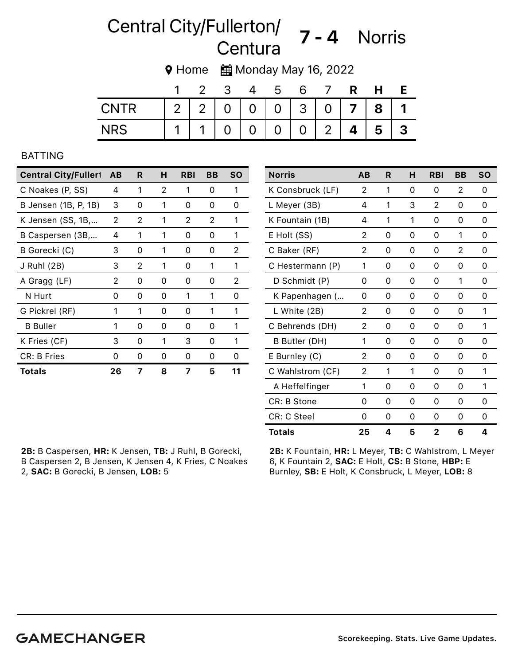# Central City/Fullerton/ Guerton, **7 - 4** Norris<br>Centura

9 Home <u>前</u> Monday May 16, 2022

|      | л                  |                | -3       |                | ა              |                |                |                | Н |  |
|------|--------------------|----------------|----------|----------------|----------------|----------------|----------------|----------------|---|--|
| CNTR | $\overline{2}$     | 2 <sup>1</sup> | $\Omega$ | $\overline{O}$ | $\overline{0}$ | 3 <sup>1</sup> | $\Omega$       | $\overline{7}$ | 8 |  |
|      | $\mathbf{\Lambda}$ | 1              | 0        | $\overline{0}$ | $\overline{0}$ | $\overline{0}$ | $\overline{2}$ | Δ              | 5 |  |

#### BATTING

| <b>Central City/Fullert</b> | AB | R | н | <b>RBI</b> | BВ | <b>SO</b>      |
|-----------------------------|----|---|---|------------|----|----------------|
| C Noakes (P, SS)            | 4  | 1 | 2 | 1          | 0  | 1              |
| B Jensen (1B, P, 1B)        | 3  | 0 | 1 | 0          | 0  | 0              |
| K Jensen (SS, 1B,           | 2  | 2 | 1 | 2          | 2  | 1              |
| B Caspersen (3B,            | 4  | 1 | 1 | 0          | 0  | 1              |
| B Gorecki (C)               | З  | 0 | 1 | 0          | 0  | 2              |
| J Ruhl (2B)                 | З  | 2 | 1 | 0          | 1  | 1              |
| A Gragg (LF)                | 2  | 0 | 0 | 0          | Ω  | $\overline{2}$ |
| N Hurt                      | 0  | 0 | 0 | 1          | 1  | 0              |
| G Pickrel (RF)              | 1  | 1 | 0 | 0          | 1  | 1              |
| <b>B</b> Buller             | 1  | 0 | 0 | 0          | 0  | 1              |
| K Fries (CF)                | З  | 0 | 1 | 3          | 0  | 1              |
| CR: B Fries                 | 0  | 0 | 0 | Ω          | 0  | Ω              |
| <b>Totals</b>               | 26 | 7 | 8 | 7          | 5  | 11             |

2B: B Caspersen, HR: K Jensen, TB: J Ruhl, B Gorecki, B Caspersen 2, B Jensen, K Jensen 4, K Fries, C Noakes 2, SAC: B Gorecki, B Jensen, LOB: 5

2B: K Fountain, HR: L Meyer, TB: C Wahlstrom, L Meyer 6, K Fountain 2, SAC: E Holt, CS: B Stone, HBP: E Burnley, SB: E Holt, K Consbruck, L Meyer, LOB: 8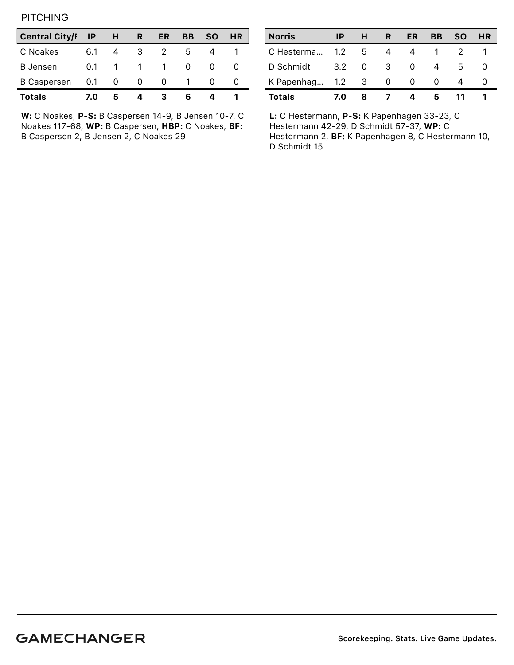**PITCHING** 

| <b>Central City/I</b> | ΙP  | н     | R | ER | BВ | SΟ | HR |
|-----------------------|-----|-------|---|----|----|----|----|
| C Noakes              | 6.1 |       |   |    | h  |    |    |
| <b>B</b> Jensen       | 0.1 |       |   |    |    |    |    |
| <b>B Caspersen</b>    | 0.1 | - 0 - | O |    |    |    |    |
| <b>Totals</b>         | 7.0 | 5     |   |    |    |    |    |

W: C Noakes, P-S: B Caspersen 14-9, B Jensen 10-7, C Noakes 117-68, WP: B Caspersen, HBP: C Noakes, BF: B Caspersen 2, B Jensen 2, C Noakes 29

| <b>Norris</b>    | ΙP  | н  | R | ER | ВB | <b>SO</b> | HR |
|------------------|-----|----|---|----|----|-----------|----|
| C Hesterma       | 1.2 | -5 | 4 | 4  |    |           |    |
| D Schmidt        | 3.2 | 0  | 3 |    |    | h         |    |
| K Papenhag 1.2 3 |     |    | 0 |    |    |           |    |
| <b>Totals</b>    | 7.O | 8  |   |    | 5  |           |    |

L: C Hestermann, P-S: K Papenhagen 33-23, C Hestermann 42-29, D Schmidt 57-37, WP: C Hestermann 2, BF: K Papenhagen 8, C Hestermann 10, D Schmidt 15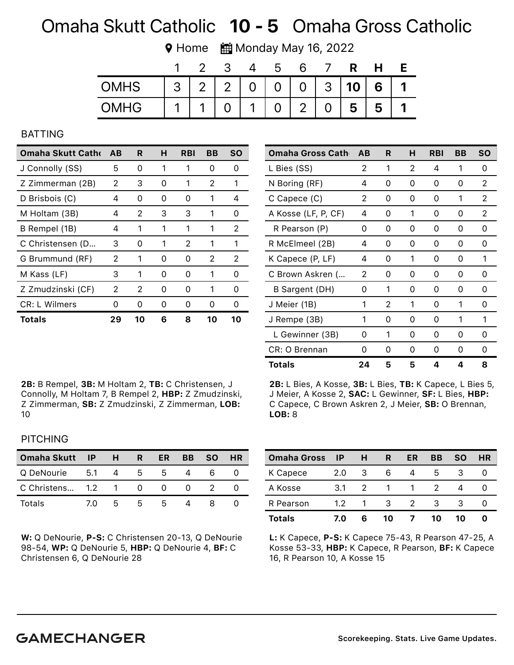# Omaha Skutt Catholic 10 - 5 Omaha Gross Catholic

**♥ Home ■ Monday May 16, 2022** 

|             |                |       | ხ |                |                |   |   |
|-------------|----------------|-------|---|----------------|----------------|---|---|
| <b>OMHS</b> | 3 <sup>1</sup> | 2 2 0 |   |                | 0   0   3   10 | 6 | 1 |
| <b>OMHG</b> |                |       |   | $\overline{2}$ | 5              | 5 |   |

#### BATTING

| <b>Omaha Skutt Catho</b> | AB | R  | н | RBI | BВ | SΟ            |
|--------------------------|----|----|---|-----|----|---------------|
| J Connolly (SS)          | 5  | 0  | 1 | 1   | O  | $\mathcal{L}$ |
| Z Zimmerman (2B)         | 2  | 3  | Ω | 1   | 2  | 1             |
| D Brisbois (C)           | 4  | 0  | 0 | O)  | 1  | 4             |
| M Holtam (3B)            | 4  | 2  | 3 | 3   | 1  | 0             |
| B Rempel (1B)            | 4  | 1  | 1 | 1   | 1  | 2             |
| C Christensen (D         | 3  | 0  | 1 | 2   | 1  | 1             |
| G Brummund (RF)          | 2  | 1  | 0 | O   | 2  | 2             |
| M Kass (LF)              | 3  | 1  | O | U   | 1  | $\mathcal{L}$ |
| Z Zmudzinski (CF)        | 2  | 2  | Ω | O   | 1  | O             |
| <b>CR: L Wilmers</b>     | Ω  | Ω  | O | Ω   | Ω  | O             |
| Totals                   | 29 | 10 | 6 | 8   | 10 | 10            |

2B: B Rempel, 3B: M Holtam 2, TB: C Christensen, J Connolly, M Holtam 7, B Rempel 2, HBP: Z Zmudzinski, Z Zimmerman, SB: Z Zmudzinski, Z Zimmerman, LOB: 10

| <b>Omaha Gross Cath</b> | AB | R | н | <b>RBI</b> | BB | <b>SO</b> |
|-------------------------|----|---|---|------------|----|-----------|
| L Bies (SS)             | 2  | 1 | 2 | 4          | 1  | 0         |
| N Boring (RF)           | 4  | 0 | 0 | 0          | Ω  | 2         |
| C Capece (C)            | 2  | 0 | 0 | 0          | 1  | 2         |
| A Kosse (LF, P, CF)     | 4  | ი | 1 | 0          | Ω  | 2         |
| R Pearson (P)           | 0  | 0 | 0 | 0          | 0  | 0         |
| R McElmeel (2B)         | 4  | 0 | Ω | Ω          | O  | Ω         |
| K Capece (P, LF)        | 4  | 0 | 1 | 0          | 0  | 1         |
| C Brown Askren (        | 2  | 0 | Ω | 0          | O  | Ω         |
| B Sargent (DH)          | 0  | 1 | 0 | 0          | 0  | 0         |
| J Meier (1B)            | 1  | 2 | 1 | 0          | 1  | O         |
| J Rempe (3B)            | 1  | ი | 0 | 0          | 1  | 1         |
| L Gewinner (3B)         | O  | 1 | 0 | 0          | 0  | Ω         |
| CR: O Brennan           | 0  | ი | 0 | 0          | 0  | 0         |
| Totals                  | 24 | 5 | 5 | Δ          | Δ  | ឧ         |

2B: L Bies, A Kosse, 3B: L Bies, TB: K Capece, L Bies 5, J Meier, A Kosse 2, SAC: L Gewinner, SF: L Bies, HBP: C Capece, C Brown Askren 2, J Meier, SB: O Brennan, LOB: 8

### **PITCHING**

| Omaha Skutt IP    |             | $\mathsf{H}$ | R            | ER            | <b>BB</b> | <b>SO</b> | <b>HR</b> |
|-------------------|-------------|--------------|--------------|---------------|-----------|-----------|-----------|
| Q DeNourie        | 5.1 4       |              | - 5 -        | $\mathcal{L}$ |           |           |           |
| C Christens 1.2 1 |             |              | $\mathbf{O}$ | $^{(1)}$      |           |           |           |
| Totals            | $\prime$ () | h            | h.           | h             |           |           |           |

W: Q DeNourie, P-S: C Christensen 20-13, Q DeNourie 98-54, WP: Q DeNourie 5, HBP: Q DeNourie 4, BF: C Christensen 6, Q DeNourie 28

| <b>Omaha Gross</b> | <b>IP</b>        | н  | R  | ER            | BВ | <b>SO</b> | <b>HR</b> |
|--------------------|------------------|----|----|---------------|----|-----------|-----------|
| K Capece           | 2.0              | 3  | 6  |               | 5  | З         |           |
| A Kosse            | 3.1              |    |    |               |    |           |           |
| R Pearson          | 1.2 <sub>2</sub> |    | 3  | $\mathcal{P}$ | 3  | З         |           |
| <b>Totals</b>      | 7.0              | ิค | 10 |               | 10 | 10        |           |

L: K Capece, P-S: K Capece 75-43, R Pearson 47-25, A Kosse 53-33, HBP: K Capece, R Pearson, BF: K Capece 16, R Pearson 10, A Kosse 15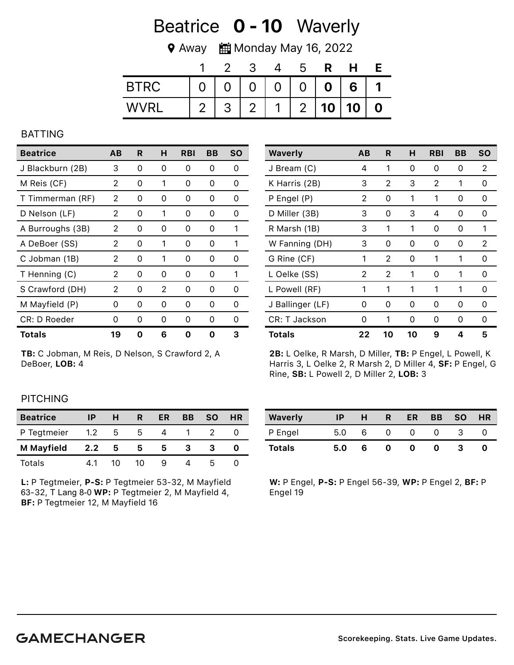## Beatrice **0 - 10** Waverly

**♥ Away ■ Monday May 16, 2022** 

|             |   |   |                |                | ხ              |                  | н  |   |
|-------------|---|---|----------------|----------------|----------------|------------------|----|---|
| <b>BTRC</b> |   |   | $\overline{0}$ | 0              | $\overline{0}$ | $\boldsymbol{0}$ | 6  |   |
| WVRI        | റ | հ | $\overline{2}$ | $\overline{ }$ | $\overline{2}$ | 10               | 10 | Λ |

#### BATTING

| <b>Beatrice</b>  | AВ | R | н | <b>RBI</b> | BВ | <b>SO</b> |
|------------------|----|---|---|------------|----|-----------|
| J Blackburn (2B) | 3  | 0 | Ω | 0          | 0  | 0         |
| M Reis (CF)      | 2  | 0 | 1 | 0          | 0  | 0         |
| T Timmerman (RF) | 2  | 0 | 0 | 0          | 0  | 0         |
| D Nelson (LF)    | 2  | 0 | 1 | 0          | Ω  | 0         |
| A Burroughs (3B) | 2  | 0 | Ω | 0          | Ω  | 1         |
| A DeBoer (SS)    | 2  | 0 | 1 | 0          | Ω  | 1         |
| C Jobman (1B)    | 2  | 0 | 1 | 0          | O  | O         |
| T Henning (C)    | 2  | 0 | O | 0          | 0  | 1         |
| S Crawford (DH)  | 2  | 0 | 2 | 0          | 0  | 0         |
| M Mayfield (P)   | Ω  | Ω | 0 | Ω          | 0  | Ω         |
| CR: D Roeder     | Ω  | Ω | O | Ω          | Ω  | Ω         |
| Totals           | 19 | n | 6 |            | 0  | з         |

TB: C Jobman, M Reis, D Nelson, S Crawford 2, A DeBoer, LOB: 4

| <b>Waverly</b>   | AB | R  | н  | <b>RBI</b> | BB | <b>SO</b> |
|------------------|----|----|----|------------|----|-----------|
| J Bream (C)      | 4  | 1  | 0  | 0          | 0  | 2         |
| K Harris (2B)    | 3  | 2  | 3  | 2          | 1  | 0         |
| P Engel (P)      | 2  | 0  | 1  | 1          | 0  | 0         |
| D Miller (3B)    | 3  | 0  | 3  | 4          | 0  | Ω         |
| R Marsh (1B)     | 3  | 1  | 1  | 0          | 0  | 1         |
| W Fanning (DH)   | 3  | 0  | 0  | 0          | 0  | 2         |
| G Rine (CF)      | 1  | 2  | 0  | 1          | 1  | 0         |
| L Oelke (SS)     | 2  | 2  | 1  | 0          | 1  | 0         |
| L Powell (RF)    | 1  | 1  | 1  | 1          | 1  | 0         |
| J Ballinger (LF) | Ω  | 0  | 0  | 0          | 0  | 0         |
| CR: T Jackson    | Ω  | 1  | 0  | 0          | 0  | 0         |
| <b>Totals</b>    | 22 | 10 | 10 | 9          | 4  | 5         |

2B: L Oelke, R Marsh, D Miller, TB: P Engel, L Powell, K Harris 3, L Oelke 2, R Marsh 2, D Miller 4, SF: P Engel, G Rine, SB: L Powell 2, D Miller 2, LOB: 3

#### **PITCHING**

| <b>Beatrice</b>   | IP  | н  | R  | ER | <b>BB</b> | <b>SO</b> | HR |
|-------------------|-----|----|----|----|-----------|-----------|----|
| P Tegtmeier       | 1.2 | ხ  | b. |    |           |           |    |
| <b>M</b> Mayfield | 2.2 | 5  | 5  | 5  |           |           |    |
| Totals            |     | 10 | 10 |    |           |           |    |

L: P Tegtmeier, P-S: P Tegtmeier 53-32, M Mayfield 63-32, T Lang 8-0 WP: P Tegtmeier 2, M Mayfield 4, BF: P Tegtmeier 12, M Mayfield 16

| <b>Waverly</b> | ΙP  | н | R            | ER | <b>BB</b> | <b>SO</b> | <b>HR</b> |
|----------------|-----|---|--------------|----|-----------|-----------|-----------|
| P Engel        | 5.0 | 6 | $\mathbf{I}$ | 0  |           |           |           |
| <b>Totals</b>  | 5.0 | 6 | o            | o  | o         |           |           |

W: P Engel, P-S: P Engel 56-39, WP: P Engel 2, BF: P Engel 19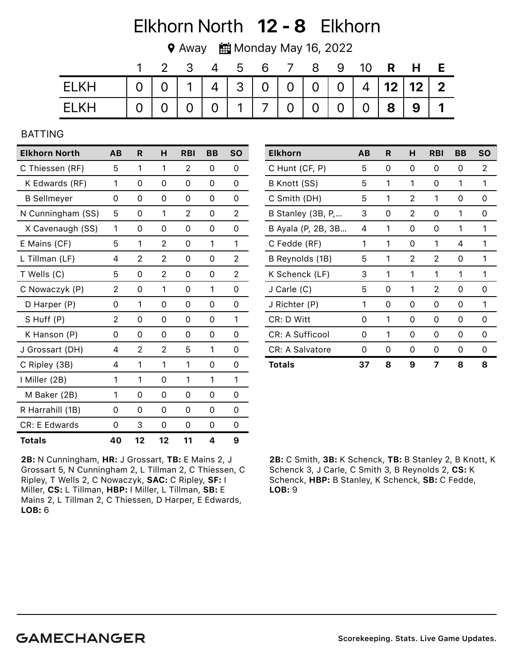# Elkhorn North 12 - 8 Elkhorn

◆ Away ■ Monday May 16, 2022

|       |  |  |  |  |  | 3 4 5 6 7 8 9 10 <b>R H E</b>                         |  |
|-------|--|--|--|--|--|-------------------------------------------------------|--|
| ELKH  |  |  |  |  |  | $0   0   1   4   3   0   0   0   0   4   12   12   2$ |  |
| FI KH |  |  |  |  |  | 0 0 0 0 0 1 7 0 0 0 0 0 0 8 9 1                       |  |

#### BATTING

| <b>Elkhorn North</b> | AB | R              | н        | <b>RBI</b> | BB | <b>SO</b> |
|----------------------|----|----------------|----------|------------|----|-----------|
| C Thiessen (RF)      | 5  | 1              | 1        | 2          | 0  | 0         |
| K Edwards (RF)       | 1  | $\Omega$       | 0        | $\Omega$   | 0  | 0         |
| <b>B</b> Sellmeyer   | 0  | 0              | 0        | 0          | 0  | 0         |
| N Cunningham (SS)    | 5  | $\Omega$       | 1        | 2          | 0  | 2         |
| X Cavenaugh (SS)     | 1  | 0              | 0        | 0          | 0  | 0         |
| E Mains (CF)         | 5  | 1              | 2        | 0          | 1  | 1         |
| L Tillman (LF)       | 4  | $\overline{2}$ | 2        | 0          | 0  | 2         |
| T Wells (C)          | 5  | 0              | 2        | 0          | 0  | 2         |
| C Nowaczyk (P)       | 2  | 0              | 1        | 0          | 1  | 0         |
| D Harper (P)         | 0  | 1              | 0        | 0          | 0  | 0         |
| S Huff (P)           | 2  | $\Omega$       | 0        | $\Omega$   | 0  | 1         |
| K Hanson (P)         | 0  | 0              | 0        | 0          | 0  | 0         |
| J Grossart (DH)      | 4  | 2              | 2        | 5          | 1  | 0         |
| C Ripley (3B)        | 4  | 1              | 1        | 1          | 0  | 0         |
| I Miller (2B)        | 1  | 1              | 0        | 1          | 1  | 1         |
| M Baker (2B)         | 1  | 0              | 0        | 0          | 0  | 0         |
| R Harrahill (1B)     | 0  | 0              | $\Omega$ | 0          | 0  | 0         |
| CR: E Edwards        | 0  | 3              | 0        | 0          | 0  | 0         |
| <b>Totals</b>        | 40 | 12             | 12       | 11         | 4  | 9         |

| <b>Elkhorn</b>         | AB | R | н | <b>RBI</b> | BВ | <b>SO</b> |
|------------------------|----|---|---|------------|----|-----------|
| C Hunt (CF, P)         | 5  | 0 | 0 | 0          | 0  | 2         |
| B Knott (SS)           | 5  | 1 | 1 | 0          | 1  | 1         |
| C Smith (DH)           | 5  | 1 | 2 | 1          | 0  | 0         |
| B Stanley (3B, P,      | 3  | 0 | 2 | 0          | 1  | 0         |
| B Ayala (P, 2B, 3B     | 4  | 1 | 0 | Ω          | 1  | 1         |
| C Fedde (RF)           | 1  | 1 | 0 | 1          | 4  | 1         |
| B Reynolds (1B)        | 5  | 1 | 2 | 2          | 0  | 1         |
| K Schenck (LF)         | 3  | 1 | 1 | 1          | 1  | 1         |
| J Carle (C)            | 5  | 0 | 1 | 2          | 0  | 0         |
| J Richter (P)          | 1  | 0 | 0 | 0          | 0  | 1         |
| CR: D Witt             | 0  | 1 | 0 | 0          | 0  | Ω         |
| CR: A Sufficool        | 0  | 1 | 0 | 0          | 0  | 0         |
| <b>CR: A Salvatore</b> | 0  | 0 | 0 | 0          | 0  | 0         |
| Totals                 | 37 | 8 | 9 | 7          | 8  | 8         |

2B: N Cunningham, HR: J Grossart, TB: E Mains 2, J Grossart 5, N Cunningham 2, L Tillman 2, C Thiessen, C Ripley, T Wells 2, C Nowaczyk, SAC: C Ripley, SF: I Miller, CS: L Tillman, HBP: I Miller, L Tillman, SB: E Mains 2, L Tillman 2, C Thiessen, D Harper, E Edwards, LOB: 6

2B: C Smith, 3B: K Schenck, TB: B Stanley 2, B Knott, K Schenck 3, J Carle, C Smith 3, B Reynolds 2, CS: K Schenck, HBP: B Stanley, K Schenck, SB: C Fedde, LOB: 9